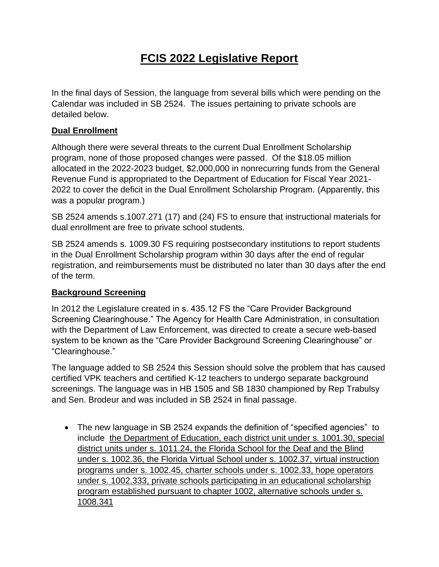# **FCIS 2022 Legislative Report**

In the final days of Session, the language from several bills which were pending on the Calendar was included in SB 2524. The issues pertaining to private schools are detailed below.

### **Dual Enrollment**

Although there were several threats to the current Dual Enrollment Scholarship program, none of those proposed changes were passed. Of the \$18.05 million allocated in the 2022-2023 budget, \$2,000,000 in nonrecurring funds from the General Revenue Fund is appropriated to the Department of Education for Fiscal Year 2021- 2022 to cover the deficit in the Dual Enrollment Scholarship Program. (Apparently, this was a popular program.)

SB 2524 amends s.1007.271 (17) and (24) FS to ensure that instructional materials for dual enrollment are free to private school students.

SB 2524 amends s. 1009.30 FS requiring postsecondary institutions to report students in the Dual Enrollment Scholarship program within 30 days after the end of regular registration, and reimbursements must be distributed no later than 30 days after the end of the term.

# **Background Screening**

In 2012 the Legislature created in s. 435.12 FS the "Care Provider Background Screening Clearinghouse." The Agency for Health Care Administration, in consultation with the Department of Law Enforcement, was directed to create a secure web-based system to be known as the "Care Provider Background Screening Clearinghouse" or "Clearinghouse."

The language added to SB 2524 this Session should solve the problem that has caused certified VPK teachers and certified K-12 teachers to undergo separate background screenings. The language was in HB 1505 and SB 1830 championed by Rep Trabulsy and Sen. Brodeur and was included in SB 2524 in final passage.

• The new language in SB 2524 expands the definition of "specified agencies" to include the Department of Education, each district unit under s. 1001.30, special district units under s. 1011.24, the Florida School for the Deaf and the Blind under s. 1002.36, the Florida Virtual School under s. 1002.37, virtual instruction programs under s. 1002.45, charter schools under s. 1002.33, hope operators under s. 1002.333, private schools participating in an educational scholarship program established pursuant to chapter 1002, alternative schools under s. 1008.341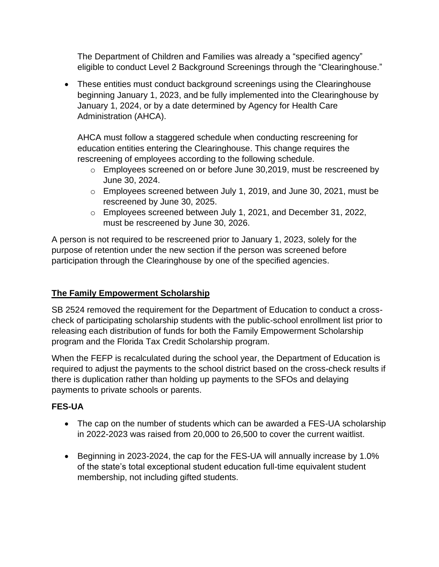The Department of Children and Families was already a "specified agency" eligible to conduct Level 2 Background Screenings through the "Clearinghouse."

• These entities must conduct background screenings using the Clearinghouse beginning January 1, 2023, and be fully implemented into the Clearinghouse by January 1, 2024, or by a date determined by Agency for Health Care Administration (AHCA).

AHCA must follow a staggered schedule when conducting rescreening for education entities entering the Clearinghouse. This change requires the rescreening of employees according to the following schedule.

- o Employees screened on or before June 30,2019, must be rescreened by June 30, 2024.
- o Employees screened between July 1, 2019, and June 30, 2021, must be rescreened by June 30, 2025.
- o Employees screened between July 1, 2021, and December 31, 2022, must be rescreened by June 30, 2026.

A person is not required to be rescreened prior to January 1, 2023, solely for the purpose of retention under the new section if the person was screened before participation through the Clearinghouse by one of the specified agencies.

# **The Family Empowerment Scholarship**

SB 2524 removed the requirement for the Department of Education to conduct a crosscheck of participating scholarship students with the public-school enrollment list prior to releasing each distribution of funds for both the Family Empowerment Scholarship program and the Florida Tax Credit Scholarship program.

When the FEFP is recalculated during the school year, the Department of Education is required to adjust the payments to the school district based on the cross-check results if there is duplication rather than holding up payments to the SFOs and delaying payments to private schools or parents.

# **FES-UA**

- The cap on the number of students which can be awarded a FES-UA scholarship in 2022-2023 was raised from 20,000 to 26,500 to cover the current waitlist.
- Beginning in 2023-2024, the cap for the FES-UA will annually increase by 1.0% of the state's total exceptional student education full-time equivalent student membership, not including gifted students.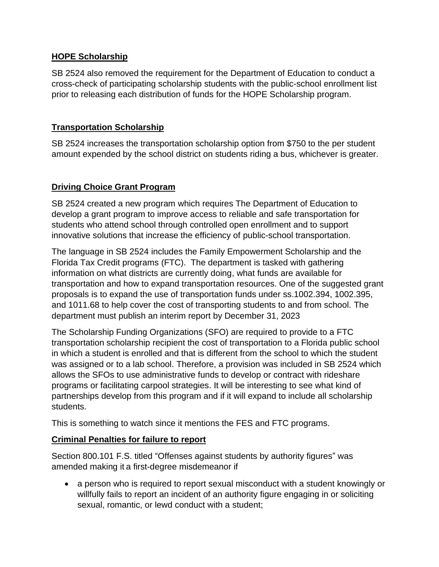# **HOPE Scholarship**

SB 2524 also removed the requirement for the Department of Education to conduct a cross-check of participating scholarship students with the public-school enrollment list prior to releasing each distribution of funds for the HOPE Scholarship program.

### **Transportation Scholarship**

SB 2524 increases the transportation scholarship option from \$750 to the per student amount expended by the school district on students riding a bus, whichever is greater.

#### **Driving Choice Grant Program**

SB 2524 created a new program which requires The Department of Education to develop a grant program to improve access to reliable and safe transportation for students who attend school through controlled open enrollment and to support innovative solutions that increase the efficiency of public-school transportation.

The language in SB 2524 includes the Family Empowerment Scholarship and the Florida Tax Credit programs (FTC). The department is tasked with gathering information on what districts are currently doing, what funds are available for transportation and how to expand transportation resources. One of the suggested grant proposals is to expand the use of transportation funds under ss.1002.394, 1002.395, and 1011.68 to help cover the cost of transporting students to and from school. The department must publish an interim report by December 31, 2023

The Scholarship Funding Organizations (SFO) are required to provide to a FTC transportation scholarship recipient the cost of transportation to a Florida public school in which a student is enrolled and that is different from the school to which the student was assigned or to a lab school. Therefore, a provision was included in SB 2524 which allows the SFOs to use administrative funds to develop or contract with rideshare programs or facilitating carpool strategies. It will be interesting to see what kind of partnerships develop from this program and if it will expand to include all scholarship students.

This is something to watch since it mentions the FES and FTC programs.

# **Criminal Penalties for failure to report**

Section 800.101 F.S. titled "Offenses against students by authority figures" was amended making it a first-degree misdemeanor if

• a person who is required to report sexual misconduct with a student knowingly or willfully fails to report an incident of an authority figure engaging in or soliciting sexual, romantic, or lewd conduct with a student;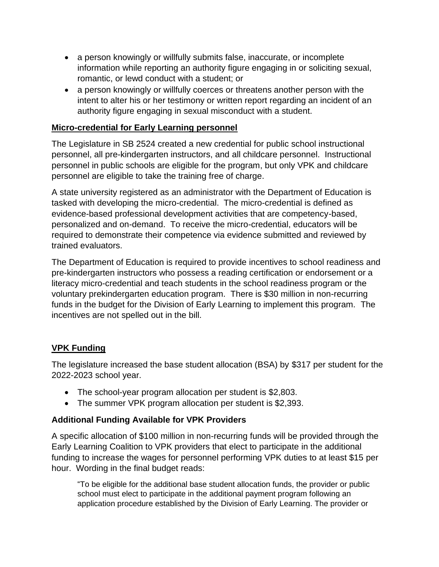- a person knowingly or willfully submits false, inaccurate, or incomplete information while reporting an authority figure engaging in or soliciting sexual, romantic, or lewd conduct with a student; or
- a person knowingly or willfully coerces or threatens another person with the intent to alter his or her testimony or written report regarding an incident of an authority figure engaging in sexual misconduct with a student.

# **Micro-credential for Early Learning personnel**

The Legislature in SB 2524 created a new credential for public school instructional personnel, all pre-kindergarten instructors, and all childcare personnel. Instructional personnel in public schools are eligible for the program, but only VPK and childcare personnel are eligible to take the training free of charge.

A state university registered as an administrator with the Department of Education is tasked with developing the micro-credential. The micro-credential is defined as evidence-based professional development activities that are competency-based, personalized and on-demand. To receive the micro-credential, educators will be required to demonstrate their competence via evidence submitted and reviewed by trained evaluators.

The Department of Education is required to provide incentives to school readiness and pre-kindergarten instructors who possess a reading certification or endorsement or a literacy micro-credential and teach students in the school readiness program or the voluntary prekindergarten education program. There is \$30 million in non-recurring funds in the budget for the Division of Early Learning to implement this program. The incentives are not spelled out in the bill.

# **VPK Funding**

The legislature increased the base student allocation (BSA) by \$317 per student for the 2022-2023 school year.

- The school-year program allocation per student is \$2,803.
- The summer VPK program allocation per student is \$2,393.

# **Additional Funding Available for VPK Providers**

A specific allocation of \$100 million in non-recurring funds will be provided through the Early Learning Coalition to VPK providers that elect to participate in the additional funding to increase the wages for personnel performing VPK duties to at least \$15 per hour. Wording in the final budget reads:

"To be eligible for the additional base student allocation funds, the provider or public school must elect to participate in the additional payment program following an application procedure established by the Division of Early Learning. The provider or